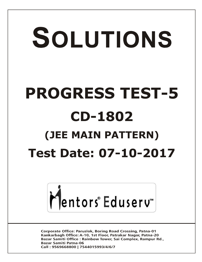# SOLUTIONS **PROGRESS TEST-5 CD-1802 (JEE MAIN PATTERN) Test Date: 07-10-2017**



**Corporate Office: Paruslok, Boring Road Crossing, Patna-01** Kankarbagh Office: A-10, 1st Floor, Patrakar Nagar, Patna-20 Bazar Samiti Office: Rainbow Tower, Sai Complex, Rampur Rd., **Bazar Samiti Patna-06** Call: 9569668800 | 7544015993/4/6/7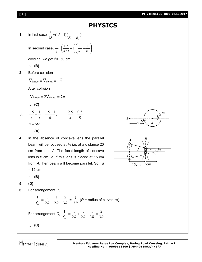# **PHYSICS**

 $\bigg)$  $\setminus$ 

1. In first case 
$$
\frac{1}{15} = (1.5 - 1)(\frac{1}{R_1} - \frac{1}{R_2})
$$

In second case,  $\frac{1}{f} = \left| \frac{1.5}{4/3} - 1 \right| \left| \frac{1}{R} - \frac{1}{R} \right|$  $\overline{\phantom{a}}$  $\setminus$  $\left| \frac{1}{R} \right|$  $\bigg)$  $\left(\frac{1.5}{4.6}-1\right)$  $\setminus$  $=\frac{1.5}{1.5}$  $\mathbf{1}$   $\mathbf{1}$  $1 \left( \frac{1}{2} - \frac{1}{2} \right)$  $4/3$  $1 \quad (1.5$  $f \left( \frac{4}{3} \right) \left( \frac{R_1}{R_1} \right) R$ 

dividing, we get  $f = 60$  cm

$$
\therefore (B)
$$

**2.** Before collision

$$
\vec{V}_{image} = \vec{V}_{object} = -\vec{u}
$$

After collision

$$
\vec{V}_{image} = 2\vec{V}_{object} = 2\vec{u}
$$
  
 
$$
\therefore \quad (C)
$$

3. 
$$
\frac{1.5}{x} + \frac{1}{x} = \frac{1.5 - 1}{R}
$$
,  $\frac{2.5}{x} = \frac{0.5}{R}$   
 $x = 5R$   
 $\therefore$  (A)

4. In the absence of concave lens the parallel beam will be focused at 
$$
F_2
$$
 i.e. at a distance 20 cm from lens A. The focal length of concave lens is 5 cm i.e. if this lens is placed at 15 cm from A, then beam will become parallel. So,  $d = 15$  cm





**(B)**

**5. (D)**

**6.** For arrangement *P*,

$$
\frac{1}{f_{eq}} = \frac{1}{2R} + \frac{1}{2R} - \frac{2}{3R} = \frac{1}{3R} \text{ (R = radius of curvature)}
$$
  
For arrangement Q,  $\frac{1}{f_{eq}} = \frac{1}{2R} + \frac{1}{2R} - \frac{1}{3R} = \frac{2}{3R}$   
∴ **(C)**



**[ 2 ] PT-V (Main) CD-1802\_07.10.2017**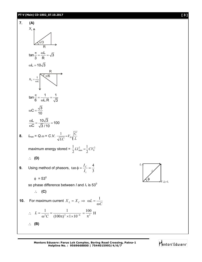## **PT-V (Main) CD-1802\_07.10.2017 [ 3 ]**



**Mentors Eduserv: Parus Lok Complex, Boring Road Crossing, Patna-1 Helpline No. : 9569668800 | 7544015993/4/6/7**



Mentors Eduserv<sup>®</sup>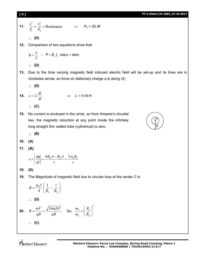**[ 4 ] PT-V (Main) CD-1802\_07.10.2017**

**11.** 
$$
\frac{v_1^2}{P_1} = \frac{v_2^2}{P_2} = \text{Resistance} \qquad \Rightarrow \qquad P_2 = 25 \text{ W}
$$

$$
\therefore \textbf{(D)}
$$

**12.** Comparison of two equations show that

$$
\phi = \frac{\pi}{2} \quad \therefore \quad P = E_t \, I_t \, \cos \varphi = \text{zero}.
$$

$$
\therefore (D)
$$

**13.** Due to the time varying magnetic field induced electric field will be set-up and its lines are in clockwise sense, so force on stationary charge *q* is along (4)

$$
\therefore \quad (D)
$$

$$
14. \quad e = L \frac{dI}{dt} \quad \Rightarrow \quad L = 0.04 \, \text{H}
$$

**(C)**

**15.** No current is enclosed in the circle, so from Ampere's circuital law, the magnetic induction at any point inside the infinitely long straight thin walled tube (cylindrical) is zero.



$$
\therefore \quad (B)
$$

- **16. (A)**
- **17. (A)**

$$
e = \left| \frac{d\phi}{dt} \right| = \frac{4B_0A - B_0A}{t} = \frac{3A_0B_0}{t}
$$

$$
18. (D)
$$

**19.** The Magnitude of magnetic field due to circular loop at the center *C* is

2

2  $\frac{1}{\sqrt{2}}$ 

J

 $\mathcal{L}$ 

$$
B = \frac{\mu_0 I}{4} \left( \frac{1}{R_1} - \frac{1}{R_2} \right)
$$
  
\n
$$
\therefore \textbf{(D)}
$$
  
\n20.  $R = \frac{mV}{qB} = \frac{\sqrt{2mq\Delta V}}{qB} \textbf{ So}, \frac{m_1}{m_2} = \left( \frac{R}{R_2} \right)^2$   
\n
$$
\therefore \textbf{(C)}
$$

Mentors Eduserv<sup>-</sup>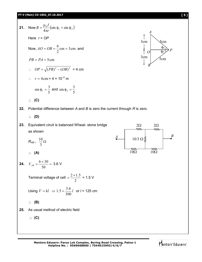

Mentors Eduserv<sup>®</sup>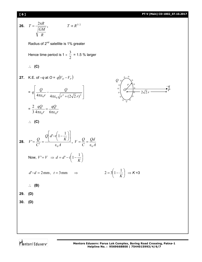**[ 6 ] PT-V (Main) CD-1802\_07.10.2017**

*–q*

2 2 *r*

26. 
$$
T = \frac{2\pi R}{\sqrt{GM}}
$$
,  $T \propto R^{3/2}$   
\nRadius of 2<sup>nd</sup> satellite is 1% greater  
\nHence time period is 1 ×  $\frac{3}{2}$  = 1.5 % larger  
\n $\therefore$  (C)  
\n27. K.E. of -q at O =  $q(V_0 - V_r)$   
\n $= q \left[ \frac{Q}{4\pi \epsilon_0 r} - \frac{Q}{4\pi \epsilon_0 \sqrt{r^2 + (2\sqrt{2}r)^2}} \right]$   
\n $= \frac{2}{3} \frac{qQ}{4\pi \epsilon_0 r} = \frac{qQ}{6\pi \epsilon_0 r}$   
\n $\therefore$  (C)  
\n28.  $V' = \frac{Q}{C'} = \frac{Q \left[ d' - r \left(1 - \frac{1}{K}\right) \right]}{\epsilon_0 A}$ ,  $V = \frac{Q}{C} = \frac{Qd}{\epsilon_0 A}$   
\nNow,  $V' = V \Rightarrow d = d' - r \left(1 - \frac{1}{K}\right)$   
\n $d' - d = 2$  mm,  $t = 3$  mm  $\Rightarrow$   
\n $\therefore$  (B)  
\n29. (D)  
\n30. (D)  
\n30. (D)

Mentors<sup>®</sup> Eduserv<sup>®</sup>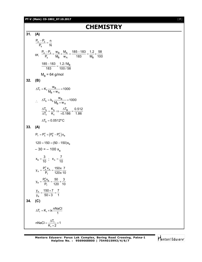### **PT-V (Main) CD-1802\_07.10.2017** [ **7** ]

# **CHEMISTRY**

**31. (A)**  $o - s$ s  $P_o - P_s$  n  $P_s$  N  $\frac{-P_{s}}{s}$  = or,  $\frac{r_0 - r_s}{P} = \frac{w_B}{M} \times \frac{w_A}{W}$ s <sup>ivi</sup>B <sup>w</sup>A ioo ivi<sub>B</sub>  $P_o - P_s$  w<sub>B</sub> M<sub>A</sub> 185-183 1.2 58  $P_s$  M<sub>B</sub> w<sub>A</sub> 183 M<sub>B</sub> 100  $\frac{-P_s}{P_s} = \frac{W_B}{M} \times \frac{M_A}{M} = \frac{185 - 183}{480} = \frac{1.2}{M} \times \frac{1}{4}$  $\frac{185 - 183}{1.2}$  / M<sub>B</sub> 183 100 / 58  $\frac{-183}{22}$  =  $M_B$  = 64 g/mol **32. (B)**  $f = K_f \frac{w_B}{M_B \times w_A}$  $\Delta T_f = K_f \frac{w_B}{M_B \times w_A} \times 1000$  $\therefore \quad \Delta T_b = k_b \frac{w_B}{M_B \times w_A}$  $\Delta T_b = k_b \frac{w_B}{M_B \times w_A} \times 1000$  $b = \frac{N_b}{N} \rightarrow \frac{\Delta I_B}{N}$ f f  $\mathsf{T}_{\mathsf{b}}$  K  $\mathsf{h}_{\mathsf{b}}$   $\Delta \mathsf{T}_{\mathsf{B}}$  0.512 T<sub>f</sub> K<sub>f</sub> +0.186 1.86  $\frac{\Delta T_{\rm b}}{\Delta T_{\rm f}} = \frac{K_{\rm b}}{K_{\rm f}} \Rightarrow \frac{\Delta T_{\rm B}}{+0.186} = \frac{1}{2}$  $\Delta T_{h} = 0.0512$ °C **33. (A)**  $P_{T} = P_{A}^{0} + (P_{B}^{0} - P_{A}^{0})X_{B}$  $120 = 150 + (50 - 150)x_{\rm B}$  $-30 = -100 x_{\rm B}$  $x_{B} = \frac{3}{10}$ ;  $x_{A} = \frac{7}{10}$  $A = \frac{P_{A}^{0} x_{A}}{P_{T}}$  $y_A = \frac{P_A^0 x_A}{P_T} = \frac{150x}{120x} \frac{7}{10}$  $B_{\rm B} = \frac{P_{\rm B}^0 X_{\rm B}}{P_{\rm T}}$  $y_B = \frac{P_B^0 x_B}{P_T} = \frac{50}{120} \times \frac{3}{10}$ A B  $y_{A}$  150 $\times$ 7 7  $y_B$  50 $\times$ 3 1  $=\frac{150\times7}{50\times3}=$ **34. (C)**  $\Delta T_f = K_f \times i \times \frac{nNaCl}{1}$ f f  $n$ NaCl =  $\frac{\Delta T_f}{K_f \times 2} \times 1$  $=\frac{\Delta T_{f}}{K_{f} \times 2} \times 1$ 

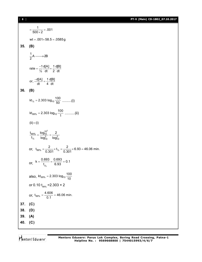[ **8** ] **PT-V (Main) CD-1802\_07.10.2017**

 $=\frac{1}{500\times2}$  = .001  $wt = .001 \times 58.5 = .0585g$ **35. (B)**  $\frac{1}{2}$ A ----->2B rate  $= \frac{-1}{\frac{1}{2}} \frac{d[A]}{dt} = \frac{1}{2} \frac{d[B]}{dt}$  $=\frac{-1}{16}$  d[A]  $=$ or,  $\frac{-d[A]}{dt} = \frac{1}{4} \frac{d[B]}{dt}$  $\frac{-d[A]}{dA} =$ **36. (B)** kt<sub>½</sub> = 2.303 log<sub>10</sub>  $\frac{100}{50}$  ........(i)  $\mathsf{kt}_{99\%} = 2.303 \log_{10} \frac{100}{1} \dots \dots \dots (ii)$  $(ii) \div (i)$  $\frac{99\%}{2} - \frac{\log^{10^2}}{10^2}$  $v_2$   $log_{10}^2$   $log_{10}^2$  $t_{99\%}$  log<sub>10</sub> 2  $\frac{100\%}{t_{\frac{1}{2}}} = \frac{100\%}{\log_{10}^{2}} = \frac{200}{\log_{10}^{2}}$ or,  $t_{99\%} = \frac{2}{0.301} \times t_{\frac{1}{2}} = \frac{2}{0.301} \times 6.93 = 46.06$  min. or,  $\kappa = \frac{1}{t_y}$ 2  $k = {0.693 \over t_{v_0}} = {0.693 \over 6.93} = 0.1$ also, kt<sub>99%</sub> = 2.303 log<sub>10</sub>  $\frac{100}{10}$ or 0.10  $t_{99\%}$  =2.303  $\times$  2 or,  $t_{99\%} = \frac{4.606}{0.1} = 46.06$  min. **37. (C) 38. (D) 39. (A) 40. (C)**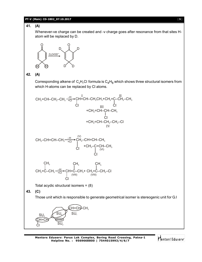# **PT-V (Main) CD-1802\_07.10.2017** [ **9** ]

# **41. (A)**

Whenever-ve charge can be created and -v charge goes after resonance from that sites Hatom will be replaced by D.



# **42. (A)**

Corresponding alkene of  $\rm C_4H_7$ CI formula is  $\rm C_4H_8$  which shows three structural isomers from which H-atoms can be replaced by Cl atoms.



$$
\begin{array}{c}\nCH_3-CH=CH-CH_3\stackrel{+H}{\longrightarrow}CH_2-CH=CH-CH_3\\ \n\begin{array}{c}\n\begin{array}{c}\n\begin{array}{c}\n\begin{array}{c}\n\begin{array}{c}\n\begin{array}{c}\n\begin{array}{c}\n\end{array} \\
\end{array} \\
\end{array} \\
\end{array} \\
\begin{array}{c}\n\begin{array}{c}\n\end{array} \\
\end{array} \\
\end{array} \\
\end{array} \\
\begin{array}{c}\n\begin{array}{c}\n\begin{array}{c}\n\end{array} \\
\end{array} \\
\end{array} \\
\end{array} \\
\begin{array}{c}\n\begin{array}{c}\n\end{array} \\
\end{array} \\
\end{array} \\
\begin{array}{c}\n\begin{array}{c}\n\end{array} \\
\end{array} \\
\end{array} \\
\end{array} \\
\begin{array}{c}\n\begin{array}{c}\n\end{array} \\
\end{array} \\
\begin{array}{c}\n\begin{array}{c}\n\end{array} \\
\end{array} \\
\end{array} \\
\end{array}
$$

$$
\begin{array}{ccc}\nCH_3 & CH_3 & CH_3 \\
\downarrow & \downarrow & \downarrow \\
CH_2=C-CH_3 \xrightarrow[+Cl]{}^{+}CH=C-CH_3+ CH_2=C-CH_2-Cl \\
\downarrow & \downarrow \\
Cl & & \downarrow\n\end{array}
$$

Total acydic structural isomers = (8)

**43. (C)**

Those unit which is responsible to generate geometrical isomer is stereogenic unit for G.I



Mentors Eduserv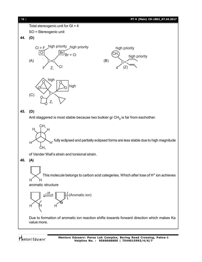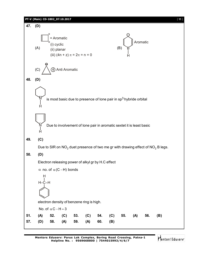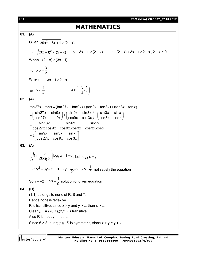# **MATHEMATICS**

# **61. (A)**

Given 
$$
\sqrt{9x^2 + 6x + 1} < (2 - x)
$$
  
\n $\Rightarrow \sqrt{(3x + 1)^2} < (2 - x) \Rightarrow |3x + 1| < (2 - x) \Rightarrow -(2 - x) < 3x + 1 < 2 - x, 2 - x > 0$   
\nWhen  $-(2 - x) < (3x + 1)$   
\n $\Rightarrow x > -\frac{3}{2}$   
\nWhen  $3x + 1 < 2 - x$   
\n $\Rightarrow x < \frac{1}{4}$   $\therefore x \in (-\frac{3}{2}, \frac{1}{4})$   
\n62. (A)  
\n $\tan 27x - \tan x = (\tan 27x - \tan 8x) + (\tan 9x - \tan 3x) + (\tan 3x - \tan x)$   
\n $= (\frac{\sin 27x}{\cos 27x} - \frac{\sin 9x}{\cos 9x}) + (\frac{\sin 9x}{\cos 9x} - \frac{\sin 3x}{\cos 3x}) + (\frac{\sin 3x}{\cos 3x} - \frac{\sin x}{\cos x})$   
\n $= \frac{\sin 18x}{\cos 27x \cdot \cos 9x} + \frac{\sin 6x}{\cos 9x \cdot \cos 3x} + \frac{\sin 2x}{\cos 9x \cdot \cos 3x}$   
\n $= 2[\frac{\sin 9x}{\cos 27x} + \frac{\sin 3x}{\cos 9x} + \frac{\sin x}{\cos 3x}]$   
\n63. (A)  
\n $(\sqrt{1 + \frac{3}{2 \log_3 x}}) \log_3 x + 1 = 0$ , Let  $\log_3 x = y$   
\n $\Rightarrow 2y^2 + 3y - 2 = 0 \Rightarrow y = \frac{1}{2}, -2 \Rightarrow y = \frac{1}{2}$  not satisfy the equation  
\nSo  $y = -2 \Rightarrow x = \frac{1}{9}$  solution of given equation  
\n64. (D)  
\n(1,1) belongs to none of R, S and T.  
\nHence none is reflexive.  
\nR is transitive, since  $x > y$  and  $y > z$ , then  $x > z$ .  
\nClearly, T = { (6,1), (2,2)} is transitive  
\nAlso R is not symmetric. Since  $x > y$  are  $x + y = y + x$ .

Mentors<sup>®</sup> Eduserv<sup>®</sup>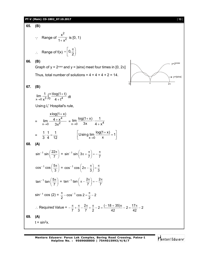# **PT-V (Main) CD-1802\_07.10.2017** [ **13** ]

65. (B)  
\n∴ Range of 
$$
\frac{x^2}{1+x^2}
$$
 is [0, 1)  
\n∴ Range of f(x) =  $\left[0, \frac{\pi}{2}\right]$   
\n66. (B)  
\nGraph of y = 2<sup>cons</sup> and y = |sinx| meet four times in [0, 2 $\pi$ ]  
\nThus, total number of solutions = 4 + 4 + 4 + 2 = 14.  
\n67. (B)  
\n
$$
\lim_{x\to 0} \frac{1}{x^3} \int_0^x \frac{x \log(1+t)}{4+t^4} dt
$$
\nUsing L' Hospital's rule,  
\nUsing L' Hospital's rule,  
\n
$$
\lim_{x\to 0} \frac{x \log(1+x)}{4+ x^4} = \lim_{x\to 0} \frac{\log(1+x)}{3x} \cdot \frac{1}{4+ x^4}
$$
\n
$$
= \frac{1}{3} \cdot \frac{1}{4} = \frac{1}{12}
$$
\n[Using  $\lim_{x\to 0} \frac{\log(1+x)}{x} = 1$ ]  
\n68. (A)  
\n $\sin^{-1} \sin\left(\frac{22\pi}{7}\right) = \sin^{-1} \sin\left(3\pi + \frac{\pi}{7}\right) = -\frac{\pi}{7}$   
\n $\cos^{-1} \cos\left(\frac{5\pi}{3}\right) = \cos^{-1} \cos\left(2\pi - \frac{\pi}{3}\right) = \frac{\pi}{3}$   
\n $\tan^{-1} \tan\left(\frac{5\pi}{7}\right) = \tan^{-1} \tan\left(\pi - \frac{2\pi}{7}\right) = -\frac{2\pi}{7}$   
\n $\sin^{-1} \cos(2) = \frac{\pi}{2} - \cos^{-1} \cos 2 = \frac{\pi}{2} - 2$   
\n∴ Required Value =  $-\frac{\pi}{7} + \frac{\pi}{3} - \frac{2\pi}{7} + \frac{\pi}{2} - 2 = \frac{(-18 + 35)\pi}{42} - 2 = \frac{17\pi}{42} - 2$   
\n69. (A)  
\n $t = \sin^2 x$ .

Mentors<sup>e</sup> Eduserv<sup>-</sup>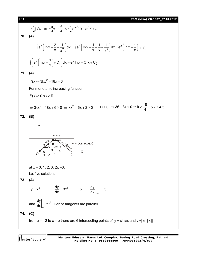[ **14** ] **PT-V (Main) CD-1802\_07.10.2017**

70. (A)  
\n
$$
1=\frac{1}{2}\int e^{k}(2-t)dt = \frac{3}{2}e^{k} - t\frac{e^{k}}{2} + C = \frac{1}{2}e^{8\pi i^{2}x}(3-sin^{2}x) + C
$$
\n70. (A)  
\n
$$
\int e^{x} \left( ln x + \frac{2}{x} - \frac{1}{x^{2}} \right) dx = \int e^{x} \left( ln x + \frac{1}{x} + \frac{1}{x} - \frac{1}{x^{2}} \right) dx = e^{x} \left( ln x + \frac{1}{x} \right) + C_{1}
$$
\n
$$
\int \left( e^{x} \left( ln x + \frac{1}{x} \right) + C_{1} \right) dx = e^{x} ln x + C_{1}x + C_{2}
$$
\n71. (A)  
\n
$$
f'(x) = 3kx^{2} - 18x + 6
$$
\nFor monotonic increasing function  
\n
$$
f'(x) \ge 0 \forall x \in \mathbb{R}
$$
\n
$$
\Rightarrow 3kx^{2} - 18x + 6 \ge 0 \Rightarrow kx^{2} - 6x + 2 \ge 0 \Rightarrow D \le 0 \Rightarrow 36 - 8k \le 0 \Rightarrow k \ge \frac{18}{4} \Rightarrow k \ge 4.5
$$
\n72. (B)  
\n
$$
\frac{y = \pi}{12 \pi}
$$
\n
$$
\frac{y = \pi}{12 \pi}
$$
\n
$$
\frac{y = \pi}{12 \pi}
$$
\nat  $x = 0, 1, 2, 3, 2\pi - 3$ .  
\ni.e. five solutions  
\n73. (A)  
\n
$$
y = x^{3} \Rightarrow \frac{dy}{dx} = 3x^{2} \Rightarrow \frac{dy}{dx}|_{x=1} = 3
$$
\nand  $\frac{dy}{dx}|_{x=1} = 3$ . Hence tangents are parallel.  
\n74. (C)  
\n
$$
f(x) = 2 \text{ to } x = e \text{ there are 6 intersecting points of } y = \sin \pi x \text{ and } y = |f| |x||
$$

Mentors<sup>e</sup> Eduserv<sup>-</sup>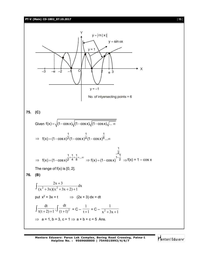**PT-V (Main) CD-1802\_07.10.2017** [ **15** ]



**Mentors Eduserv: Parus Lok Complex, Boring Road Crossing, Patna-1 Helpline No. : 9569668800 | 7544015993/4/6/7**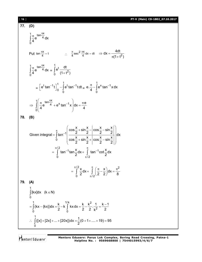[ **16** ] **PT-V (Main) CD-1802\_07.10.2017**

### **77. (D)**  $\int \frac{\pi}{4} \tan \frac{\pi x}{4}$ 0 e <sup>4</sup> dx 4  $\int_{4}^{1} \frac{\pi}{4} e^{ \tan \frac{\pi}{4}}$ Put  $\tan \frac{\pi x}{4} = t$   $\therefore \frac{\pi}{4} \sec^2 \frac{\pi x}{4} dx = dt \Rightarrow dx = \frac{4dt}{\pi(1+t^2)}$  $(1 + t^2)$  $\Rightarrow$  dx = - $\pi$ (1+t  $\int_{0}^{1} \frac{\pi}{4} e^{ \tan \frac{\pi x}{4}} dx$ 0 4  $\int \frac{\pi}{4} e^{\tan \frac{\pi x}{4}} dx =$ 1 t 2 0  $\mathsf{e}^\mathsf{t}\frac{\mathsf{d}\mathsf{t}}{ }$  $\int_0^1 \frac{dt}{(1+t^2)}$ =  $[t_{\rm{tan}}-1_{\rm{f}}]^{\rm{1}}$   $\int_{\rm{a}}^{\rm{t}} t_{\rm{tan}}$   $^{-1}$ 0 0  $\left[ e^{t} \tan^{-1} t \right]_0^{\prime} - \int e^{t} \tan^{-1} t dt =$ 1  $x_{tan} - 1$ 0 e. $\frac{\pi}{4}$  –  $\int e^{x} \tan^{-1} x dx$ 4  $\frac{\pi}{4}$  –  $\int$ e $^{\chi}$  tan $^{-}$  $\int_{1}^{1} \frac{\pi}{4} \tan \frac{\pi x}{4} + e^{x} \tan^{-1} x$ 0  $e^{\tan \frac{\pi x}{4}} + e^x \tan^{-1} x \, dx = \frac{\pi e}{4}$  $4 \t\t 4$ π  $\Rightarrow$   $\int_{0}^{1} \frac{\pi}{4} e^{tan\frac{\pi x}{4}} + e^{x} tan^{-1} x dx = \frac{\pi}{4}$  $\begin{pmatrix} 1 & 1 \\ 1 & 1 \end{pmatrix}$ J **78. (B)** 1 0 / 2  $1$ tan $X$ dy  $\int$ tan<sup>-1</sup> 0  $\pi/2$  $\cos\frac{x}{2} + \sin\frac{x}{2} - \cos\frac{x}{2} - \sin\frac{x}{2}$ Given integral =  $\int_0^{\infty}$  tan<sup>-1</sup>  $\left| \frac{2^{n+1}2^{n+2}}{n+1} \right| dx$  $\cos \frac{x}{2} + \sin \frac{x}{2} + \cos \frac{x}{2} - \sin \frac{x}{2}$ 2  $2$  2  $2$  $\tan^{-1}$ tan $\frac{x}{2}$ dx +  $\int_0^{\pi}$  tan<sup>-1</sup>cot $\frac{x}{2}$ dx  $2^{2^{2}}$   $1^{2}$   $2^{2}$  $\pi$  $-\sqrt{\cos\frac{x}{2}+\sin\frac{x}{2}-\left|\cos\frac{x}{2}-\sin\frac{x}{2}\right|}$  $\pi/2$   $\pi$  $^{-1}$ tan $\frac{\lambda}{\alpha}$ dv $_{+}$   $\int$  tan $^{-1}$ π  $=$  $+ \sin \frac{\pi}{6} + \cos \frac{\pi}{6} - \sin$  $(2 \t2 \t2 \t2 \t2)$ =  $\int$  tan<sup>-1</sup>tan $\frac{\pi}{2}$ dx+  $\int$  ta J  $\frac{1}{2}$   $\pi$   $\pi$   $\pi$   $\pi$ <sup>2</sup> 0  $\pi/2$  $\frac{x}{2}dx + \int_{0}^{\pi} \left( \frac{\pi}{2} - \frac{x}{2} \right) dx$  $2^{2}$   $\binom{1}{2}$   $\binom{2}{2}$   $\binom{3}{2}$  8  $\pi/2$   $\pi$  $\pi$  $=\int_{0}^{\pi/2} \frac{x}{2} dx + \int_{\pi/2}^{\pi} \left(\frac{\pi}{2} - \frac{x}{2}\right) dx = \frac{\pi^2}{8}$ **79. (A)** 1  $\int$ [kx]dx (k  $\in$  N)

0  
\n
$$
= \int_{0}^{1} (kx - {kx})dx = \frac{k}{2} - k \int_{0}^{1/k} kx dx = \frac{k}{2} - \frac{k^{2}}{2} \cdot \frac{1}{k^{2}} = \frac{k-1}{2}
$$
\n∴ 
$$
\int_{0}^{1} ([x] + [2x] + ... + [20x])dx = \frac{1}{2}(0 + 1 + ... + 19) = 95
$$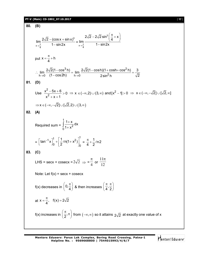# **PT-V (Main) CD-1802\_07.10.2017** [ **17** ]

80. **(B)**  
\n
$$
\lim_{x \to \frac{\pi}{4}} \frac{2\sqrt{2} - (\cos x + \sin x)^3}{1 - \sin 2x} = \lim_{x \to \frac{\pi}{4}} \frac{2\sqrt{2} - 2\sqrt{2} \sin^3(\frac{\pi}{4} + x)}{1 - \sin 2x}
$$
\nput  $x = \frac{\pi}{4} + h$   
\n
$$
\therefore \lim_{h \to 0} \frac{2\sqrt{2}(1 - \cos^3 h)}{(1 - \cos 2h)} = \lim_{h \to 0} \frac{2\sqrt{2}(1 - \cosh)(1 + \cosh t \cos^2 h)}{2 \sin^2 h} = \frac{3}{\sqrt{2}}
$$
\n81. **(D)**  
\nUse  $\frac{x^2 - 5x + 6}{x^2 + x + 1} > 0 \Rightarrow x \in (-\infty, 2) \cup (3, \infty)$  and  $[x^2 - 1] > 0 \Rightarrow x \in (-\infty, -\sqrt{2}] \cup [\sqrt{2}, \infty]$   
\n $\Rightarrow x \in (-\infty, -\sqrt{2}] \cup [\sqrt{2}, 2) \cup (3, \infty)$   
\n82. **(A)**  
\nRequired sum =  $\int_0^1 \frac{1 + x}{1 + x^2} dx$   
\n=  $\left[ \tan^{-1} x \right]_0^1 + \left[ \frac{1}{2} \ln(1 + x^2) \right]_0^1 = \frac{\pi}{4} + \frac{1}{2} \ln 2$   
\n83. **(C)**  
\nLHS = secx + cosec x =  $2\sqrt{2} \Rightarrow \frac{\pi}{4}$  or  $\frac{11\pi}{12}$   
\nNote: Let  $f(x) = \sec x + \csc x$   
\n $f(x)$  decreases in  $\left(0, \frac{\pi}{4}\right)$  & then increases  $\left(\frac{\pi}{4}, \frac{\pi}{2}\right)$   
\nat  $x = \frac{\pi}{4}$ ,  $f(x) = 2\sqrt{2}$   
\n $f(x)$  increases in  $\left(\frac{\pi}{2}, \pi\right)$  from  $(-\infty, \infty)$  so it attains  $2\sqrt{2}$  at exactly one value of x

Mentors<sup>e</sup> Eduserv<sup>-</sup>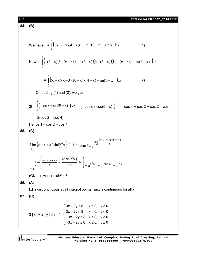84. (B)  
\n84. (C)  
\n
$$
2x - 2x + 3 = 0
$$
\n
$$
2x - 2x + 3 = 0
$$
\n
$$
2x - 2x + 3 = 0
$$
\n
$$
2x - 2x + 3 = 0
$$
\n
$$
2x - 2x + 3 = 0
$$
\n
$$
2x - 2x + 2 = 0
$$
\n
$$
3|x| + 2|y| \le 8 \Rightarrow \begin{cases} \frac{3x + 2y \le 8}{3 - 2x - 2y \le 8} x \le 0, y \le 0 \end{cases}
$$
\n
$$
3x - 2x - 2x \le 8, x \le 0, y \le 0
$$
\n
$$
x^2 - 3x - 2x + 2x + 3 = 0
$$
\n
$$
x^2 - 3x + 2x + 2 = 0
$$
\n
$$
x^2 - 3x + 2x + 2 = 0
$$
\n
$$
x^2 - 3x + 2x + 2 = 0
$$
\n
$$
x^2 - 3x + 2x + 2 = 0
$$
\n
$$
x^2 - 3x + 2x + 2 = 0
$$
\n
$$
x^2 - 3x + 2x + 2 = 0
$$
\n
$$
x^2 - 3x + 2x + 2 = 0
$$
\n
$$
x^2 - 3x + 2x + 2 = 0
$$
\n
$$
x^2 - 3x + 2x + 2 = 0
$$
\n
$$
x^2 - 3x + 2x + 2 = 0
$$
\n
$$
x^2 - 3x + 2x + 2 = 0
$$
\n
$$
x^2 - 3x + 2x + 2 = 0
$$
\n
$$
x^2 - 3x + 2x + 2 = 0
$$
\n
$$
x^2 - 3x + 2x + 2 = 0
$$
\n
$$
x^2 - 3x + 2x + 2 = 0
$$
\n
$$
x^2 - 3x + 2x + 2 = 0
$$
\n
$$
x^2 - 3x + 2x + 2 = 0
$$
\n
$$
x^2 - 3x +
$$

Mentors<sup>®</sup> Eduserv<sup>®</sup>